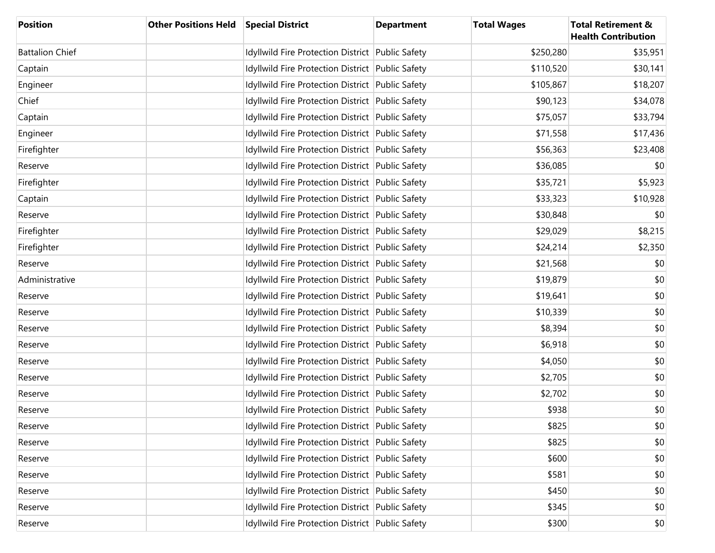| <b>Position</b>        | Other Positions Held Special District |                                                  | <b>Department</b> | <b>Total Wages</b> | <b>Total Retirement &amp;</b><br><b>Health Contribution</b> |
|------------------------|---------------------------------------|--------------------------------------------------|-------------------|--------------------|-------------------------------------------------------------|
| <b>Battalion Chief</b> |                                       | Idyllwild Fire Protection District Public Safety |                   | \$250,280          | \$35,951                                                    |
| Captain                |                                       | Idyllwild Fire Protection District Public Safety |                   | \$110,520          | \$30,141                                                    |
| Engineer               |                                       | Idyllwild Fire Protection District Public Safety |                   | \$105,867          | \$18,207                                                    |
| Chief                  |                                       | Idyllwild Fire Protection District Public Safety |                   | \$90,123           | \$34,078                                                    |
| Captain                |                                       | Idyllwild Fire Protection District Public Safety |                   | \$75,057           | \$33,794                                                    |
| Engineer               |                                       | Idyllwild Fire Protection District Public Safety |                   | \$71,558           | \$17,436                                                    |
| Firefighter            |                                       | Idyllwild Fire Protection District Public Safety |                   | \$56,363           | \$23,408                                                    |
| Reserve                |                                       | Idyllwild Fire Protection District Public Safety |                   | \$36,085           | \$0                                                         |
| Firefighter            |                                       | Idyllwild Fire Protection District Public Safety |                   | \$35,721           | \$5,923                                                     |
| Captain                |                                       | Idyllwild Fire Protection District Public Safety |                   | \$33,323           | \$10,928                                                    |
| Reserve                |                                       | Idyllwild Fire Protection District Public Safety |                   | \$30,848           | \$0                                                         |
| Firefighter            |                                       | Idyllwild Fire Protection District Public Safety |                   | \$29,029           | \$8,215                                                     |
| Firefighter            |                                       | Idyllwild Fire Protection District Public Safety |                   | \$24,214           | \$2,350                                                     |
| Reserve                |                                       | Idyllwild Fire Protection District Public Safety |                   | \$21,568           | \$0                                                         |
| Administrative         |                                       | Idyllwild Fire Protection District Public Safety |                   | \$19,879           | \$0                                                         |
| Reserve                |                                       | Idyllwild Fire Protection District Public Safety |                   | \$19,641           | \$0                                                         |
| Reserve                |                                       | Idyllwild Fire Protection District Public Safety |                   | \$10,339           | \$0                                                         |
| Reserve                |                                       | Idyllwild Fire Protection District Public Safety |                   | \$8,394            | \$0                                                         |
| Reserve                |                                       | Idyllwild Fire Protection District Public Safety |                   | \$6,918            | \$0                                                         |
| Reserve                |                                       | Idyllwild Fire Protection District Public Safety |                   | \$4,050            | \$0                                                         |
| Reserve                |                                       | Idyllwild Fire Protection District Public Safety |                   | \$2,705            | \$0                                                         |
| Reserve                |                                       | Idyllwild Fire Protection District Public Safety |                   | \$2,702            | \$0                                                         |
| Reserve                |                                       | Idyllwild Fire Protection District Public Safety |                   | \$938              | \$0                                                         |
| Reserve                |                                       | Idyllwild Fire Protection District Public Safety |                   | \$825              | \$0                                                         |
| Reserve                |                                       | Idyllwild Fire Protection District Public Safety |                   | \$825              | \$0                                                         |
| Reserve                |                                       | Idyllwild Fire Protection District Public Safety |                   | \$600              | \$0                                                         |
| Reserve                |                                       | Idyllwild Fire Protection District Public Safety |                   | \$581              | \$0                                                         |
| Reserve                |                                       | Idyllwild Fire Protection District Public Safety |                   | \$450              | \$0                                                         |
| Reserve                |                                       | Idyllwild Fire Protection District Public Safety |                   | \$345              | \$0                                                         |
| Reserve                |                                       | Idyllwild Fire Protection District Public Safety |                   | \$300              | \$0                                                         |